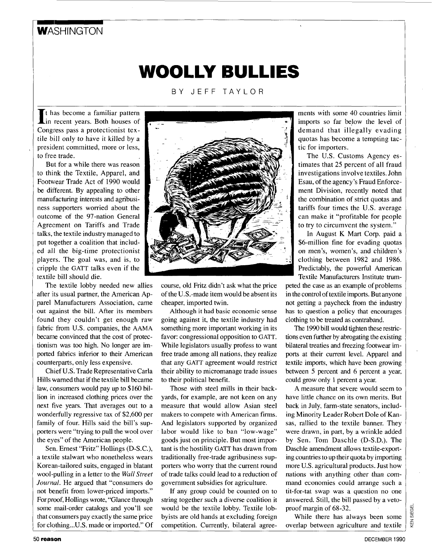# **WASHINGTON**

# **WOOLLY BULLIES**

BY JEFF TAYLOR

It has become a familiar pattern<br>in recent years. Both houses of Congress pass a protectionist textile bill only to have it killed by a president committed, more or less, to free trade.

But for a while there was reason to think the Textile, Apparel, and Footwear Trade Act of 1990 would be different. By appealing to other manufacturing interests and agribusiness supporters worried about the outcome of the 97-nation General Agreement on Tariffs and Trade talks, the textile industry managed to put together a coalition that included all the big-time protectionist players. The goal was, and is, to cripple the **GATT** talks even if the textile bill should die.

The textile lobby needed new allies after its usual partner, the American Apparel Manufacturers Association, came out against the bill. After its members found they couldn't get enough raw fabric from U.S. companies, the **AAMA**  became convinced that the cost of protectionism was too high. No longer are imported fabrics inferior to their American counrerparts, only less expensive.

Chief U.S. Trade Representative Carla Hills warned that if the textile bill became law, consumers would pay up to \$160 billion in increased clothing prices over the next five years. That averages out to a wonderfully regressive tax of \$2,600 per family of four. Hills said the bill's supporters were "trying to pull the wool over the eyes" of the American people.

Sen. Ernest "Fritz" Hollings (D-S.C.), a textile stalwart who nonetheless wears Korean-tailored suits, engaged in blatant wool-pulling in a letter to the *Wall Street Journal.* He argued that "consumers do not benefit from lower-priced imports." Forproof, Hollings wrote, "Glance through some mail-order catalogs and you'll see that consumers pay exactly the same price for clothing...U.S. made or imported." Of



course, old Fritz didn't ask what the price of the U.S.-made item would be absent its cheaper, imported twin.

Although it had basic economic sense going against it, the textile industry had something more important working in its favor: congressional opposition to **GATT.**  While legislators usually profess to want free trade among all nations, they realize that any **GATT** agreement would restrict their ability to micromanage trade issues to their political benefit.

Those with steel mills in their backyards, for example, are not keen on any measure that would allow Asian steel makers to compete with American firms. And legislators supported by organized labor would like to ban "low-wage'' goods just on principle. But most important is the hostility **GATT** has drawn from traditionally free-trade agribusiness supporters who wony that the current round of trade talks could lead to a reduction of government subsidies for agriculture.

If any group could be counted on to string together such a diverse coalition it would be the textile lobby. Textile lobbyists are old hands at excluding foreign competition. Currently, bilateral agreements with some 40 countries limit imports so far below the level of demand that illegally evading quotas has become a tempting tactic for importers.

The U.S. Customs Agency estimates that 25 percent of all fraud investigations involve textiles. John Esau, of the agency's Fraud Enforcement Division, recently noted that the combination of strict quotas and tariffs four times the U.S. average can make it "profitable for people to try to circumvent the system."

In August K Mart Corp. paid a \$6-million fine for evading quotas on men's, women's, and children's clothing between 1982 and 1986. Predictably, the powerful American Textile Manufacturers Institute trum-

peted the case as an example of problems in the control of textile imports. But anyone not getting a paycheck from the industry has to question a policy that encourages clothing to be treated as contraband.

The 1990 bill would tighten these restrictions even further by abrogating the existing bilateral treaties and freezing footwear imports at their current level. Apparel and textile imports, which have been growing between 5 percent and 6 percent a year, could grow only 1 percent a year.

A measure that severe would seem to have little chance on its own merits. But back in July, farm-state senators, including Minority Leader Robert Dole of Kansas, rallied to the textile banner. They were drawn, in part, by a wrinkle added by Sen. Tom Daschle (D-S.D.). The Daschle amendment allows textile-exporting countries to up their quota by importing more U.S. agricultural products. Just how nations with anything other than command economies could arrange such a tit-for-tat swap was a question no one answered. Still, the bill passed by a vetoproof margin of 68-32.

While there has always been some overlap between agriculture and textile

**EN SIEGEI**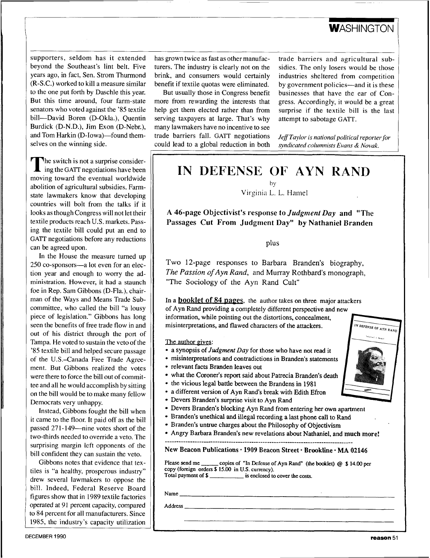## **WASHINGTON**

supporters, seldom has it extended beyond the Southeast's lint belt. Five years ago, in fact, Sen. Strom Thurmond (R-S.C.) worked to kill a measure similar to the one put forth by Daschle this year. But this time around, four farm-state senators who voted against the '85 textile bill-David Boren (D-Okla.), Quentin Burdick (D-N.D.), Jim Exon (D-Nebr.), and Tom Harkin (D-Iowa)—found themselves on the winning side.

The switch is not a surprise considering the GATT negotiations have been moving toward the eventual worldwide abolition of agricultural subsidies. Farrnstate lawmakers know that developing countries will bolt from the talks if it looks as though Congress will not let their textile products reach U.S. markets. Passing the textile bill could put an end to **GATT** negotiations before any reductions can be agreed upon.

In the House the measure turned up 250 co-sponsors-a lot even for an election year and enough to worry the administration. However, it had **a** staunch foe in Rep. Sam Gibbons (D-Fla.), chairman of the Ways and Means Trade Subcommittee, who called the bill "a lousy piece of legislation." Gibbons has long seen the benefits of free trade flow in and out of his district through the port of Tampa. He voted to sustain the veto of the '85 textile bill and helped secure passage of the U.S.-Canada Free Trade Agreement. But Gibbons realized the votes were there to force the bill out of committee and all he would accomplish by sitting on the bill would be to make many fellow Democrats very unhappy.

Instead, Gibbons fought the bill when it came to the floor. It paid off as the bill passed 271-149—nine votes short of the two-thirds needed to override a veto. The surprising margin left opponents of the bill confident they can sustain the veto.

Gibbons notes that evidence that textiles is "a healthy, prosperous industry" drew several lawmakers to oppose the bill. Indeed, Federal Reserve Board figures show that in 1989 textile factories operated at 91 percent capacity, compared to 84 percent for all manufacturers. Since 1985, the industry's capacity utilization has grown twice as fast as other manufacturers. The industry is clearly not on the brink, and consumers would certainly benefit if textile quotas were eliminated.

But usually those in Congress benefit more from rewarding the interests that help get them elected rather than from serving taxpayers at large. That's why many lawmakers have no incentive to see trade barriers fall. **GATT** negotiations could lead to a global reduction in both trade barriers and agricultural subsidies. The only losers would be those industries sheltered from competition by government policies—and it is these businesses that have the ear of Congress. Accordingly, it would be a great surprise if the textile bill is the last attempt to sabotage **GATT.** 

*Jeff Taylor is national political reporter for syndicated columnists Evans* & *Novak.* 

# **IN DEFENSE OF AYN RAND**

by

Virginia L. L. Hamel

A 46-page Objectivist's response to *Judgment Day* and "The **Passages Cut From Judgment Day" by Nathaniel Branden** 

plus

Two 12-page responses to Barbara Branden's biography, *The Passion of Ayn Rand,* and Murray Rothbard's monograph, "The Sociology **of** the **Ayn** Rand Cult"

In a **booklet of 84 pages**, the author takes on three major attackers of Ayn Rand providing a completely different perspective and new information, while pointing out the distortions, concealment, misinterpretations, and flawed characters of the attackers.

The author gives:

- a synopsis of *Judgment Day* for those who have not read it
- misinterpretations and contradictions in Branden's statements
- relevant facts Branden leaves out
- what the Coroner's report said about Patrecia Branden's death
- the vicious legal battle between the Brandens in 1981
- a different version of Ayn Rand's break with Edith **Efron**
- Devers Branden's surprise visit to Ayn Rand
- Devers Branden's blocking Ayn Rand from entering her own apartment
- Branden's unethical and illegal recording **a** last phone call **to** Rand
- Branden's untrue charges about the Philosophy of Objectivism
- Angry Barbara Branden's new revelations about Nathaniel, and **much more!**

New Beacon Publications · 1909 Beacon Street · Brookline · MA 02146

Please send me \_\_\_\_\_\_ copies of "In Defense of Ayn Rand" (the booklet) @ \$14.00 per **copy (foreign orders \$15.00 in U.S. currency). Total payment of** \$ **is enclosed to cover the costs.** 

Name

**Address**